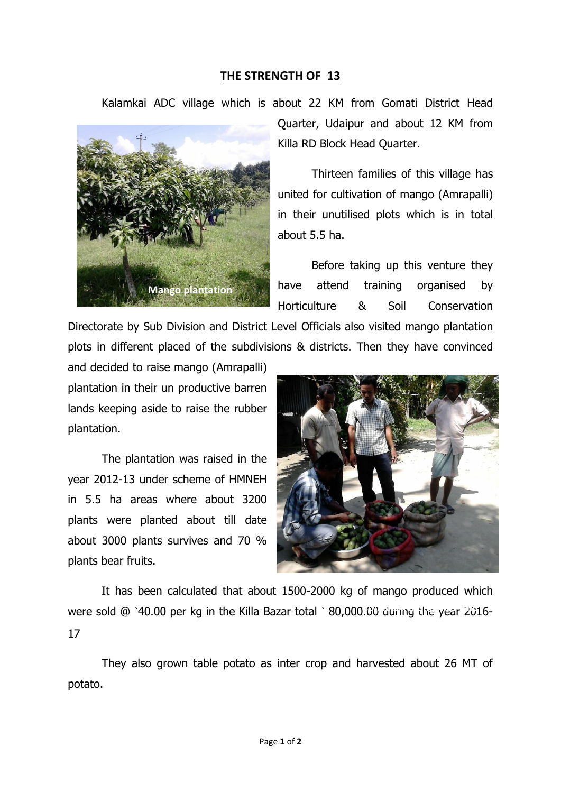## **THE STRENGTH OF 13**

Kalamkai ADC village which is about 22 KM from Gomati District Head



Quarter, Udaipur and about 12 KM from Killa RD Block Head Quarter.

Thirteen families of this village has united for cultivation of mango (Amrapalli) in their unutilised plots which is in total about 5.5 ha.

Before taking up this venture they have attend training organised by Horticulture & Soil Conservation

Directorate by Sub Division and District Level Officials also visited mango plantation plots in different placed of the subdivisions & districts. Then they have convinced

and decided to raise mango (Amrapalli) plantation in their un productive barren lands keeping aside to raise the rubber plantation.

The plantation was raised in the year 2012-13 under scheme of HMNEH in 5.5 ha areas where about 3200 plants were planted about till date about 3000 plants survives and 70 % plants bear fruits.



It has been calculated that about 1500-2000 kg of mango produced which were sold @ `40.00 per kg in the Killa Bazar total ` 80,000.00 during the year 2016-17

They also grown table potato as inter crop and harvested about 26 MT of potato.